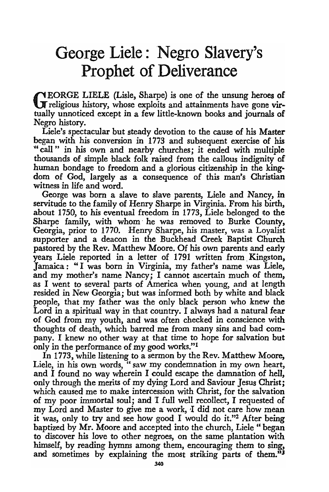## George Liele: Negro Slavery's Prophet of Deliverance

 $\bigcap$  EORGE LIELE (Lisle, Sharpe) is one of the unsung heroes of **T** religious history, whose exploits and attainments have gone virtually unnoticed except in a few little-known books and journals of Negro history.

Liele's spectacular but steady devotion to the cause of his Master began with his conversion in 1773 and subsequent exercise of his "call" in his own and nearby churches; it ended with multiple thousands of simple black folk raised from the callous indignity of human bondage to freedom and a glorious citizenship in the kingdom of God, largely as a consequence of this man's Christian witness in life and word.

George was born a slave to slave parents, Liele and Nancy, in servitude to the family of Henry Sharpe in Virginia. From his birth, about 1750, to his eventual freedom in 1773, Liele belonged to the Sharpe family, with whom' he was removed to Burke County, Georgia, prior to 1770. Henry Sharpe, his master, was a Loyalist supporter and a deacon in the Buckhead Creek Baptist Church pastored by the Rev. Matthew Moore. Of his own parents and early years Liele reported in a letter of 1791 written from. Kingston, Jamaica: "I was born in Virginia, my father's name was Liele, and my mother's name Nancy; I cannot ascertain much of them, as I went to several parts of America when young, and at length resided in New Georgia; but was informed both by white and black people, that my father was the only black person who knew the Lord in a spiritual way in that country. I always had a natural fear of God from my youth, and was often checked in conscience with thoughts of death, which barred me from many sins and bad company. I knew no other way at that time to hope for salvation but only in the performance of my good works."!

In 1773, while listening to a sermon by the Rev. Matthew Moore, Liele, in his own words, "saw my condemnation in my own heart, and I found no way wherein I could escape the damnation of hell, only through the merits of my dying Lord and Saviour Jesus Christ; which caused me to make intercession with Christ, for the salvation of my poor immortal soul; and 'I full well recollect, I requested of my Lord and Master to give me a work, I did not care how mean it was, only to try and see how good I would do it."2 After being baptized by Mr. Moore and accepted into the church, Liele "began to discover his love to other negroes, on the same plantation with himself, by reading hymns among them, encouraging them to sing, and sometimes by explaining the most striking parts of them."3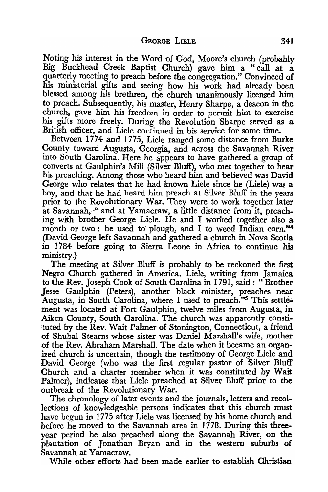Noting his interest in the Word of God, Moore's church (probably Big Buckhead Creek Baptist Church) gave him a "call at a quarterly meeting to preach before the congregation." Convinced of his ministerial gifts and seeing how his work had already been blessed among his brethren, the church unanimously licensed him to preach. Subsequently, his master, Henry Sharpe, a deacon in the church, gave him his freedom in order to permit him to exercise his gifts more freely. During the Revolution Sharpe served as a British officer, and Liele continued in his service for some time.

Between 1774 and 1775, Liele ranged some distance from Burke County toward Augusta, Georgia, and across the Savannah River into South Carolina. Here he appears to have gathered a group of converts at Gaulphin's Mill (Silver Bluff), who met together to hear his preaching. Among those who heard him and believed was David George who relates that he had known Liele since he (Liele) was a boy, and that he had heard him preach at Silver Bluff in the years prior to the Revolutionary War. They were to work together later at Savannah, " and at Yamacraw, a little distance from it, preaching with brother George Liele. He and I worked together also a month or two: he used to plough, and I to weed Indian corn."<sup>4</sup> (David George left Savannah and gathered a church in Nova Scotia in 1784 before going to Sierra Leone in Africa to continue his ministry.)

The meeting at Silver Bluff is probably to be reckoned the first Negro Church gathered in America. Liele, writing from Jamaica to the Rev. Joseph Cook of South Carolina in 1791, said: "Brother Jesse Gaulphin (Peters), another black minister, preaches near Augusta, in South Carolina, where I used to preach."<sup>5</sup> This settlement was located at Fort Gaulphin, twelve miles from Augusta, in Aiken County, South Carolina. The church was apparently consti-Ituted by the Rev. Wait Palmer of Stonington, Connecticut, a friend of Shubal Steams whose sister was Daniel Marshall's wife, mother of the Rev. Abraham Marshall. The date when it became an organized church is uncertain, though the testimony of George Liele and David George (who was the first regular pastor of Silver Bluff Church and a charter member when it was constituted by Wait Palmer), indicates that Liele preached at Silver Bluff prior to the outbreak of the Revolutionary War.

The chronology of later events and the journals, letters and recollections of knowledgeable persons indicates that this church must have begun in 1775 after Liele was licensed by his home church and before he moved to the Savannah area in 1778. During this threeyear period he also preached along the Savannah River, on the plantation of Jonathan Bryan and in the western suburbs of Savannah at Yamacraw.

While other efforts had been made earlier to establish Christian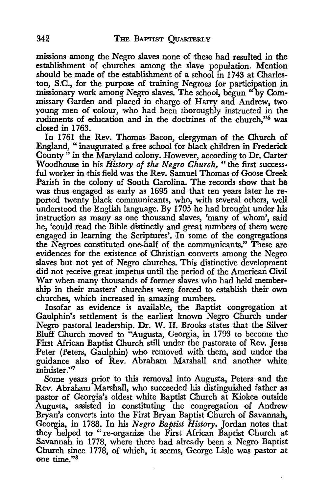missions among the Negro slaves none of these had resulted in the establishment of churches among the slave population. Mention should be made of the establishment of a school in 1743 at Charleston, S.C., for the purpose of training Negroes for participation in missionary work among Negro slaves. The school, begun" by Commissary Garden and placed in charge of Harry and Andrew, two young men of colour, who had been thoroughly instructed in the rudiments of education and in the doctrines of the church,"6 was closed in 1763.

In 1761 the Rev. Thomas Bacon, clergyman of the Church of England, "inaugurated a free school for black children in Frederick County" in the Maryland colony. However, according to Dr. Carter Woodhouse in his *History of the Negro Church*, "the first successful worker in this field was the Rev. Samuel Thomas of Goose Creek Parish in the colony of South Carolina. The records show that he was thus engaged as early as 1695 and that ten years later he reported twenty black communicants, who, with several others, well understood the English language. By 1705 he had brought under his instruction as many as one thousand slaves, 'many of whom', said he, 'could read the Bible distinctly and great numbers of them were engaged in learning the Scriptures'. In some of the congregations the Negroes constituted one-half of the communicants." These are evidences for the existence of Christian converts among the Negro slaves but not yet of Negro churches. This distinctive development did not receive great impetus until the period of the American Civil War when many thousands of former slaves who had held membership in their masters' churches were forced to establish their own churches, which increased in amazing numbers.

Insofar as evidence is available, the Baptist congregation at Gaulphin's settlement is the earliest known Negro Church under Negro pastoral leadership. Dr. W. H. Brooks states that the Silver Bluff Church moved to "Augusta, Georgia, in 1793 to become the First African Baptist Church still under the pastorate of Rev. Jesse Peter (Peters, Gaulphin) who removed with them, and under the guidance also of Rev. Abraham Marshall and another white minister."7

Some years prior to this removal into Augusta, Peters and the Rev. Abraham Marshall, who succeeded his distinguished father as pastor of Georgia's oldest white Baptist Church at Kiokee outside Augusta, assisted in constituting the congregation of Andrew Bryan's converts into the First Bryan Baptist Church of Savannah, Georgia, in 1788. In his *Negro Baptist History,* Jordan notes that they helped to "re-organize the First African' Baptist Church at Savannah in 1778, where there had already been a Negro Baptist Church since 1778, of which, it seems, George Lisle was pastor at one time."s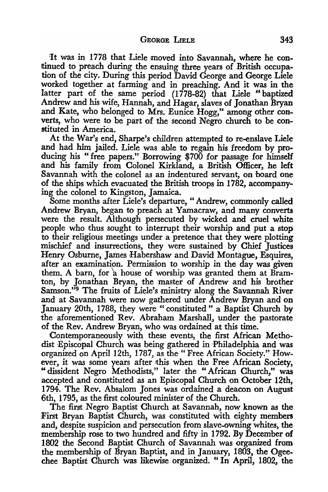:It was in 1778 that Liele moved into Savannah, where he continued to preach during the ensuing three years of British occupation of the city. During this period David George and George Liele worked together at farming and in preaching. And it was in the latter part of the same period (1778-82) that Liele "baptized Andrew and his wife, Hannah, and Hagar, slaves of Jonathan Bryan and Kate, who belonged to Mrs. Eunice Hogg," among other converts, who were to be part of the second Negro church to be constituted in America.

At the War's end, Sharpe's children attempted to re-enslave Liele and had him jailed. Liele was able to regain his freedom by producing his" free papers." Borrowing \$700 for passage for himself and his family from Colonel Kirkland, a British Officer, he left Savannah with the colonel as an indentured servant, on board one of the ships which evacuated the British troops in 1782, accompanying the colonel to Kingston, Jamaica.

Some months after Liele's departure, "Andrew, commonly called Andrew Bryan, began to preach at Yamacraw, and many converts were the result. Although persecuted by wicked and cruel white people who thus sought to interrupt their worship and put a stop to their religious meetings under a pretence that they were plotting mischief and insurrections, they were sustained by Chief Justices Henry Osburne, James Habershaw and David Montague, Esquires, after an examination. Permission to worship in the day was given them. A barn, for 'a house of worship was granted them at Bramton; by Jonathan Bryan, the master of Andrew and his brother Samson."<sup>9</sup> The fruits of Liele's ministry along the Savannah River and at Savannah were now gathered under Andrew Bryan and on January 20th, 1788, they were "constituted" a Baptist Church by the aforementioned Rev. Abraham Marshall, under the pastorate of the Rev. Andrew Bryan, who was ordained at this time.

Contemporaneously with these events, the first African Methodist Episcopal Church was being gathered in Philadelphia and was organized on April 12th, 1787, as the "Free African Society." However, it was some years after this when the Free African Society, "dissident Negro Methodists," later the "African Church," was accepted and constituted as an Episcopal Church on October 12th, 1794. The Rev. Absalom Jones was ordained a deacon on August 6th, 1795, as the first coloured minister of the Church.

The first Negro Baptist Church at Savannah, now known as the First Bryan Baptist Church, was constituted with eighty members and, despite suspicion and persecution from slave-owning whites, the membership rose to two hundred and fifty in 1792. By December of 1802 the Second Baptist Church of Savannah was organized from the membership of Bryan Baptist, and in January, 1803, the Ogeechee Baptist Church was likewise organized." In April, 1802, the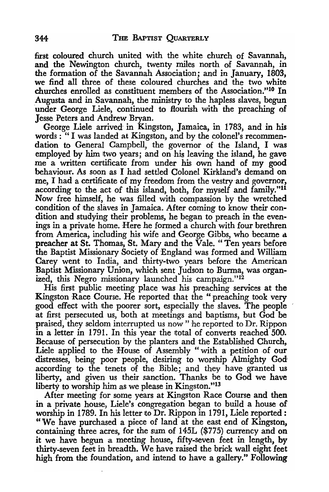first coloured church united with the white church of Savannah, and the Newington church, twenty miles north of Savannah, in the formation of the Savannah Association; and in January, 1803, we find all three of these coloured churches and the two white churches enrolled as constituent members of the Association."lo **In**  Augusta and in Savannah, the ministry to the hapless slaves, begun under George Liele, continued to flourish with the preaching of Jesse Peters and Andrew Bryan.

George Liele arrived in Kingston, Jamaica, in 1783, and in his words: "I was landed at Kingston, and by the colonel's recommendation to General Campbell, the governor of the Island, I was employed by him two years; and on his leaving the island, he gave me a written certificate from under his own hand of my good behaviour. As soon as I had settled Colonel Kirkland's demand on me, I had a certificate of my freedom from the vestry and governor, according to the act of this island, both, for myself and family."ll Now free himself, he was filled with compassion by the wretched condition of the slaves in Jamaica. After coming to know their condition and studying their problems, he began to preach in the evenings in a private home. Here he formed a church with four brethren from America, including his wife and George Gibbs, who became a preacher at St. Thomas, St. Mary and the Vale. "Ten years before the Baptist Missionary Society of England was formed and William Carey went to India, and thirty-two years before the American Baptist Missionary Union, which sent Judson to Burma, was organized, this Negro missionary launched his campaign."12

His first public meeting place was his preaching services at the Kingston Race Course. He reported that the "preaching took very good effect with the poorer sort, especially the slaves. The people at first persecuted us, both at meetings and baptisms, but God be praised, they seldom interrupted us now" he reported to Dr. Rippon in a letter in 1791. In this year the total of converts reached 500. Because of persecution by the planters and the Established Church, Liele applied to the House of Assembly "with a petition of our distresses, being poor people, aesiring to worship Almighty God according to the tenets of the Bible; and they have granted us liberty, and given us their sanction. Thanks be to God we have liberty to worship him as we please in Kingston."<sup>13</sup>

After meeting for some years at Kingston Race Course and then in a private house, Liele's congregation began to build a house of worship in 1789. In his letter to Dr. Rippon in 1791, Liele reported: "We have purchased a piece of land at the east end of Kingston, containing three acres, for the sum of 145L (\$775) currency and on it we have begun a meeting house, fifty-seven feet in length, by thirty-seven feet in breadth. We have raised the brick wall eight feet high from the foundation, and intend to have a gallery." Following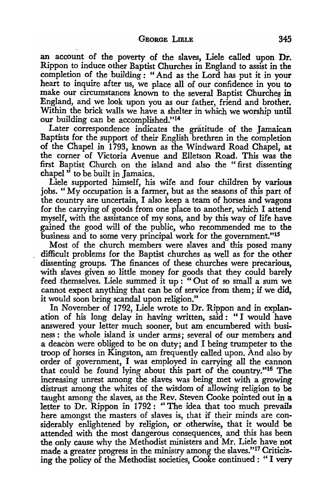an account of the poverty of the slaves, Liele called upon Dr. Rippon to induce other Baptist Churches in England to assist in the completion of the building: "And as the Lord has put it in your heart to inquire after us, we place all of our confidence in you to make our circumstances known to the several Baptist Churches in England, and we look upon you as our father, friend and brother. Within the brick walls we have a shelter in which we worship until our building can be accomplished."<sup>14</sup>

Later correspondence indicates the gratitude of the Jamaican Baptists for the support of their English brethren in the completion of the Chapel in 1793, known as the Windward Road Chapel, at the corner of Victoria Avenue and Elletson Road. This was the first Baptist Church on the island and also the "first dissenting chapel" to be built in Jamaica.<br>Liele supported himself, his wife and four children by various

jobs. "My occupation is a fanner, but as the seasons of this part of the country are uncertain, I also keep a team of horses and wagons for the carrying of goods from one place to another, which I attend myself, with the assistance of my sons, and by this way of life have gained the good will of the public, who recommended me to the business and to some very principal work for the government."15

Most of the church members were slaves and this posed many difficult problems for the Baptist churches as well as for the other dissenting groups. The finances of these churches were precarious, with slaves given so little money for goods that they could barely feed themselves. Liele summed it up: "Out of so small a sum we cannot expect anything that can be of service from them; if we did, it would soon bring scandal upon religion."

In November of 1792, Liele wrote to Dr. Rippon and in explanation of his long delay in having written, said: "I would have answered your letter much sooner, but am encumbered with business: the whole island is under arms; several of our members and a deacon were obliged to be on duty; and I being trumpeter to the troop of horses in Kingston, am frequently called upon. And also by order of government, I was employed in carrying all the cannon that could be found lying about this part of the country."16 The increasing unrest among the slaves was being met with a growing distrust among the whites of the wisdom of allowing religion to be taught among the slaves, as the Rev. Steven Cooke pointed out in a letter to Dr. Rippon in 1792: "The idea that too much prevails here amongst the masters of slaves is, that if their minds are considerably enlightened by religion, or otherwise, that it would be attended with the most dangerous consequences, and this has been the only cause why the Methodist ministers and Mr. Liele have not made a greater progress in the ministry among the slaves."17 Criticizing the policy of the Methodist societies, Cooke continued: "I very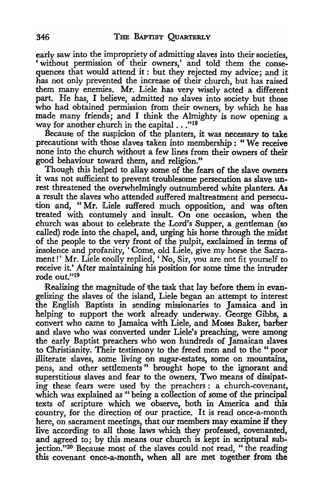early saw into the impropriety of admitting slaves into their societies, 'without permission of their owners,' and told them the consequences that would attend it: but they rejected my advice; and it has not only prevented the increase of their church, but has raised them many enemies. Mr. Liele has very wisely acted a different part. He has, I believe, admitted no slaves into society but those who had obtained permission from their owners, by which he has made many friends; and I think the Almighty is now opening a way for another church in the capital . . . "18

Because of the suspicion of the planters, it was necessary to take precautions with those slaves taken into membership: "We receive none into the church without a few lines from their owners of their good behaviour toward them, and religion."

Though this helped to allay some of the fears of the slave owners it was not sufficient to prevent troublesome persecution as slave unrest threatened the overwhelmingly outnumbered white planters. As a result the slaves who attended suffered maltreatment and persecution and, "Mr. Liele suffered much opposition, and was often treated with contumely and insult. On one occasion, when the church was about to celebrate the Lord's Supper, a gentleman (so called) rode into the chapel, and, urging his horse through the midst of the people to the very front of the pulpit, exclaimed in terms of insolence and profanity, 'Come, old Liele, give my horse the Sacrament!' Mr. Liele coolly replied, 'No, Sir, you are not fit yourself to receive it.' After maintaining his position for some time the intruder rode out."l9

Realizing the magnitude of the task that lay before them in evangelizing the slaves of the island, Liele began an attempt to interest the English Baptists in sending missionaries to Jamaica and in helping to support the work already underway. George Gibbs, a convert who came to Jamaica with Liele, and Moses Baker, barber and slave who was converted under Liele's preaching, were among the early Baptist preachers who won hundreds of Jamaican slaves to Christianity. Their testimony to the freed men and to the " poor illiterate slaves, some living on sugar-estates, some on mountains, pens, and other settlements " brought hope to the ignorant and superstitious slaves and fear to the owners. Two means of dissipating these fears were used by the preachers: a church-covenant, which was explained as " being a collection of some of the principal texts of scripture which we observe, both in America and this country, for the direction of our practice. It is read once-a-month here, on sacrament meetings, that our members may examine if they live according to all those laws which they professed, covenanted, and agreed to; by this means our church is kept in scriptural subjection."<sup>20</sup> Because most of the slaves could not read, "the reading this covenant once-a-month, when all are melt together from the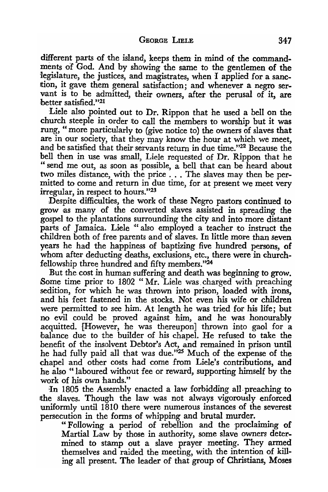different parts of the island, keeps them in mind of the commandments of God. And by showing the same to the gentlemen of the legislature, the justices, and magistrates, when I applied for a sanction, it gave them general satisfaction; and whenever a negro servant is to be admitted, their owners, after the perusal of it, are better satisfied."21

Liele also pointed out to Dr. Rippon that he used a bell on the church steeple in order to call the members to worship but it was rung, "more particularly to (give notice to) the owners of slaves that are in our society, that they may know the hour at which we meet, and be satisfied that their servants return in due time."22 Because the bell then in use was small, Liele requested of Dr. Rippon that he " send me out, as soon as possible, a bell that can be heard about two miles distance, with the price ... The slaves may then be permitted to come and return in due time, for at present we meet very irregular, in respect to hours."23

Despite difficulties, the work of these Negro pastors continued to grow as many of the converted slaves assisted in spreading the gospel to the plantations surrounding the city and into more distant parts of Jamaica. Liele "also employed a teacher to instruct the children both of free parents and of slaves. In little more than seven years he had the happiness of baptizing five hundred persons, of whom after deducting deaths, exclusions, etc., there were in churchfellowship three hundred and fifty members."24

But the cost in human suffering and death was beginning to grow. Some time prior to 1802 "Mr. Liele was charged with preaching sedition, for which he was thrown into prison, loaded with irons, and his feet fastened in the stocks. Not even his wife or children were permitted to see him. At length he was tried for his life; but no evil could be proved against him, and he was honourably acquitted. {However, he was thereupon] thrown into gaol for a balance due to the builder of his chapel. He refused to take the benefit of the insolvent Debtor's Act, and remained in prison until he had fully paid all that was due."<sup>25</sup> Much of the expense of the chapel and other costs had come from Liele's contributions, and he also "laboured without fee or reward, supporting himself by the work of his own hands."

In 1805 the Assembly enacted a law forbidding all preaching to the slaves. Though the law was not always vigorously enforced uniformly until 1810 there were numerous instances of the severest persecution in the forms of whipping and brutal murder.

"Following a period of rebellion and the proclaiming of Martial Law by those in authority, some slave owners determined to stamp out a slave prayer meeting. They armed themselves and raided the meeting, with the intention of killing all present. The leader of that group of Christians, Moses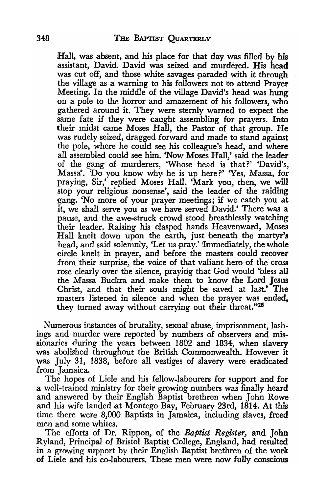Hall, was absent, and his place for that day was filled by his assistant, David. David was seized and murdered. His head was cut off, and those white savages paraded with it through the village as a warning to his followers not to attend Prayer Meeting. In the middle of the village David's head was hung on a pole to the horror and amazement of his followers, who gathered around it. They were sternly warned to expect the same fate if they were caught assembling for prayers. Into their midst came Moses Hall, the Pastor of that group. He was rudely seized, dragged forward and made to stand against the pole, where he could see his colleague's head, and where all assembled could see him. 'Now Moses Hall,' said the leader of the gang of murderers, 'Whose head is that?' 'David's, Massa'. 'Do you know why he is up here?' 'Yes, Massa, for praying, Sir,' replied Moses Hall. 'Mark you, then, we will stop your religious nonsense', said the leader of the raiding 'gang. 'No more of your prayer meetings; if we catch you at it, we shall serve you as we have served David.' There was a pause, and the awe-struck crowd stood breathlessly watching their leader. Raising his clasped hands Heavenward, Moses Hall knelt down upon the earth, just beneath the martyr's head, and said solemnly, 'Let us pray.' Immediately, the whole circle knelt in prayer, and before the masters could recover from their surprise, the voice of that valiant hero of the cross rose clearly over the silence, praying that God would 'bless all the Massa Buckra and make them to know the Lord Jesus Christ, and that their souls might be saved at last.' The masters listened in silence and when the prayer was ended, they turned away without carrying out their threat."26

Numerous instances of brutality, sexual abuse, imprisonment, lashings and murder were reported by numbers of observers and missionaries during the years between 1802 and 1834, when slavery was abolished throughout the British Commonwealth. However it was July 31, 1838, before all vestiges of slavery were eradicated from Jamaica.

The hopes of Liele and his fellow-labourers for support and for a well-trained ministry for their growing numbers was finally heard and answered by their English Baptist brethren when John Rowe and his wife landed at Montego Bay, February 23rd, 1814. At this time there were 8,000 Baptists in Jamaica, including slaves, freed men and some whites.

The efforts of Dr. Rippon, of the *Baptist Register*, and John Ryland, Principal of Bristol Baptist College, England, had resulted in a growing support by their English Baptist brethren of the work of Liele and 'his co-labourers. These men were now fully conscious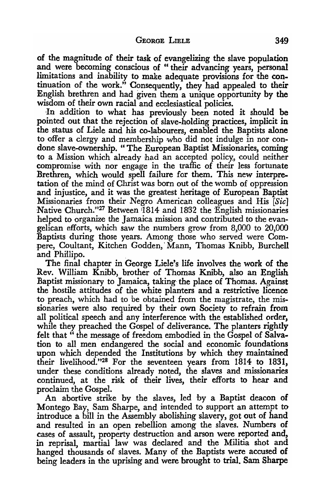of the magnitude of their task of evangelizing the slave population and were becoming conscious of "their advancing years, personal limitations and inability to make adequate provisions for the continuation of the work." Consequently, they had appealed to their English brethren and had given them a unique opportunity by the wisdom of their own racial and ecclesiastical policies.

In addition to what has previously been noted it should be pointed out that the rejection of slave-holding practices, implicit in the status of Liele and his co-labourers, enabled the Baptists alone to offer a clergy and membership who did not indulge in nor condone slave-ownership. "The European Baptist Missionaries, coming to a Mission which already had an accepted policy;, could neither compromise with nor engage in the traffic of their less fortunate Brethren, which would spell failure for them. This new interpretation of the mind of Christ was born out of the womb of oppression and injustice, and it was the greatest heritage of European Baptist Missionaries from their Negro American colleagues and His [Sic] Native Church."<sup>27</sup> Between 1814 and 1832 the English missionaries helped to organize the Jamaica *mission* and *contributed* to the evangelican efforts, which saw the numbers grow from 8,000 to 20,000 Baptists during those years. Among those who served were Compere, Coultant, Kitchen Godden,' Mann, Thomas Knihb, Burchell and Phillipo.

The final chapter in George Liele's life involves the work of the Rev. William Knibb, brother of Thomas Knibb, also an English Baptist missionary to Jamaica, taking the place of Thomas. Against the hostile attitudes of the white planters and a restrictive licence to preach, which had to be obtained from the magistrate, the missionaries were also required by their own Society to refrain from all political speech and any interference with the established order, while they preached the Gospel of deliverance. The planters rightly felt that" the message of freedom embodied in the Gospel of Salvation to all men endangered the social and economic foundations upon which depended the Institutions by which they maintained their livelihood."28 For the seventeen years from 1814 to 1831, under these conditions already noted, the slaves and missionaries continued, at the risk of their lives, their efforts to hear and proclaim the Gospel.

An abortive strike by the slaves, led by a Baptist deacon of Montego Bay, Sam Sharpe, and intended to support an attempt to introduce a bill in the Assembly abolishing slavery, got out of hand and resulted in an open rebellion among the slaves. Numbers of cases of assault, property destruction and arson were reported and, in reprisal, martial law was declared and the Militia shot and hanged thousands of slaves. Many of the Baptists were accused of being leaders in the uprising and were brought to trial. Sam Sharpe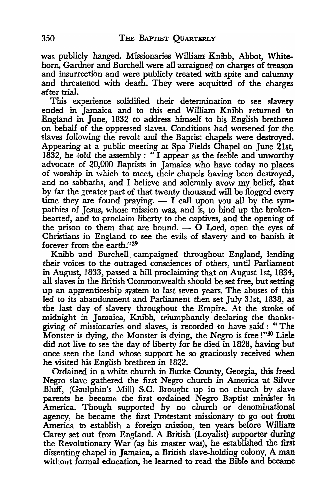was publicly hanged. Missionaries William Knibb, Abbot, Whitehorn, Gardner and Burchell were all arraigned on charges of treason and insurrection and were publicly treated with spite and calumny and threatened with death. They were acquitted of the charges after trial.

This experience solidified their determination to see slavery ended in Jamaica and to this end William Knibb returned to England in June, 1832 to address himself to his English brethren on behalf of the oppressed slaves. Conditions had worsened for the slaves following the revolt and the Baptist chapels were destroyed. Appearing at a public meeting at Spa Fields Chapel on June 21st,  $1832$ , he told the assembly: "I appear as the feeble and unworthy advocate of 20,000 Baptists in Jamaica who have today no places of worship in which to meet, their chapels having been destroyed, and no sabbaths, and I believe and solemnly avow my belief, that by far the greater part of that twenty thousand will be flogged every time they are found praying.  $- I$  call upon you all by the sympathies of Jesus, whose mission was, and is, to bind up the brokenhearted, and to proclaim liberty to the captives, and the opening of the prison to them that are bound.  $\sim$  O Lord, open the eyes of Christians in England to see the evils of slavery and to banish it forever from the earth:"29

Knibb and Burchell campaigned throughout England, lending their voices to the outraged consciences of others, until Parliament in August, 1833, passed a bill proclaiming that on August 1st, 1834, all slaves in the British Commonwealth should be set free, but setting up an apprenticeship system to last seven years. The abuses of this led to its abandonment and Parliament then set July 31st, 1838, as the last day of slavery throughout the Empire. At the stroke of midnight in Jamaica, Knibb, triumphantly declaring the thanksgiving of missionaries and slaves, is recorded to have said: "The Monster is dying, the Monster is dying, the Negro is free !"<sup>30</sup> Liele did not live to see the day of liberty for he died in 1828, having but once seen the land whose support he so graciously received when he visited his 'English brethren in 1822.

Ordained in a white church in Burke County, Georgia, this freed Negro slave gathered the first Negro church in America at Silver Bluff, (Gaulphin's Mill) S.C. Brought up in no church by slave parents he became the first ordained Negro Baptist minister in America. Though supported by no church or denominational agency, he became the first Protestant missionary to go out from America to establish a foreign mission, ten years before William Carey set out from England. A British (Loyalist) supporter during the Revolutionary War (as his master was), he established the first dissenting chapel in Jamaica, a British slave-holding colony. A man without formal education, he learned to read the Bible and became